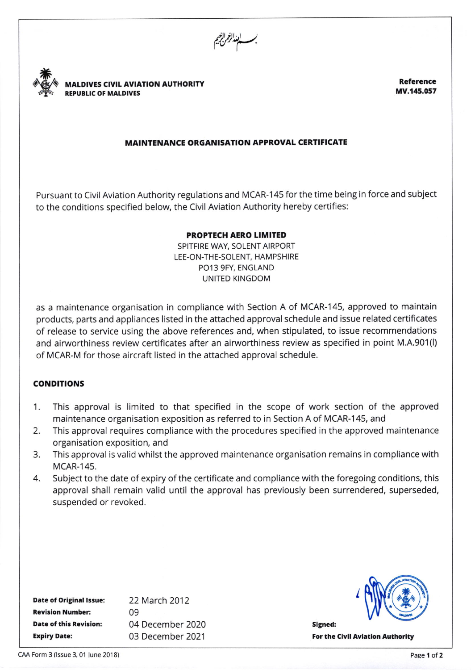



**MALDIVES CIVIL AVIATION AUTHORITY REPUBLIC OF MAI DIVES** 

Reference MV.145.057

## **MAINTENANCE ORGANISATION APPROVAL CERTIFICATE**

Pursuant to Civil Aviation Authority regulations and MCAR-145 for the time being in force and subject to the conditions specified below, the Civil Aviation Authority hereby certifies:

## **PROPTECH AERO LIMITED**

SPITFIRE WAY, SOLENT AIRPORT LEE-ON-THE-SOLENT, HAMPSHIRE PO13 9FY, ENGLAND **UNITED KINGDOM** 

as a maintenance organisation in compliance with Section A of MCAR-145, approved to maintain products, parts and appliances listed in the attached approval schedule and issue related certificates of release to service using the above references and, when stipulated, to issue recommendations and airworthiness review certificates after an airworthiness review as specified in point M.A.901(I) of MCAR-M for those aircraft listed in the attached approval schedule.

# **CONDITIONS**

- 1. This approval is limited to that specified in the scope of work section of the approved maintenance organisation exposition as referred to in Section A of MCAR-145, and
- This approval requires compliance with the procedures specified in the approved maintenance  $2.$ organisation exposition, and
- 3. This approval is valid whilst the approved maintenance organisation remains in compliance with **MCAR-145.**
- Subject to the date of expiry of the certificate and compliance with the foregoing conditions, this 4. approval shall remain valid until the approval has previously been surrendered, superseded, suspended or revoked.

**Date of Original Issue:** 22 March 2012 **Revision Number:** 09 **Date of this Revision:** 04 December 2020 **Expiry Date:** 03 December 2021



Signed: **For the Civil Aviation Authority**